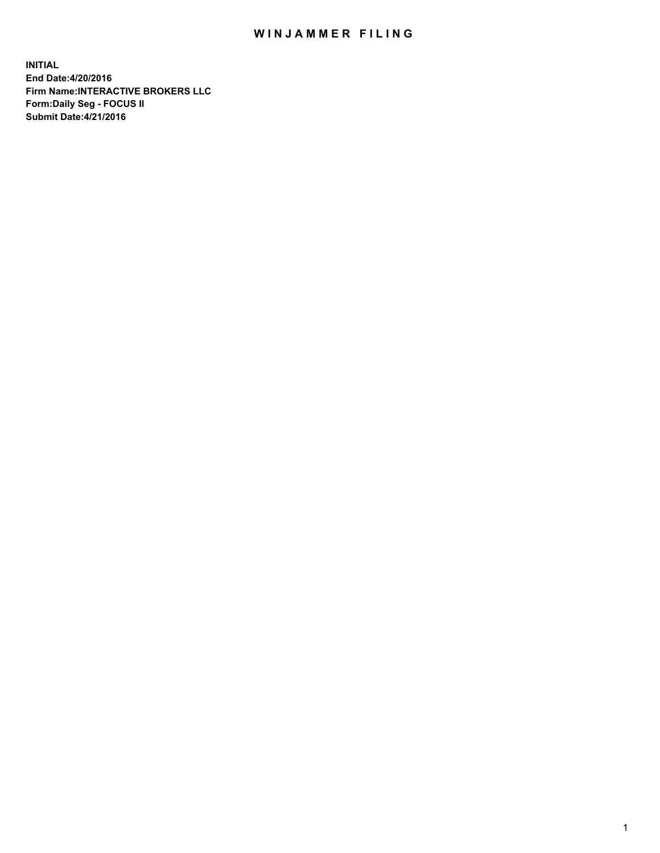## WIN JAMMER FILING

**INITIAL End Date:4/20/2016 Firm Name:INTERACTIVE BROKERS LLC Form:Daily Seg - FOCUS II Submit Date:4/21/2016**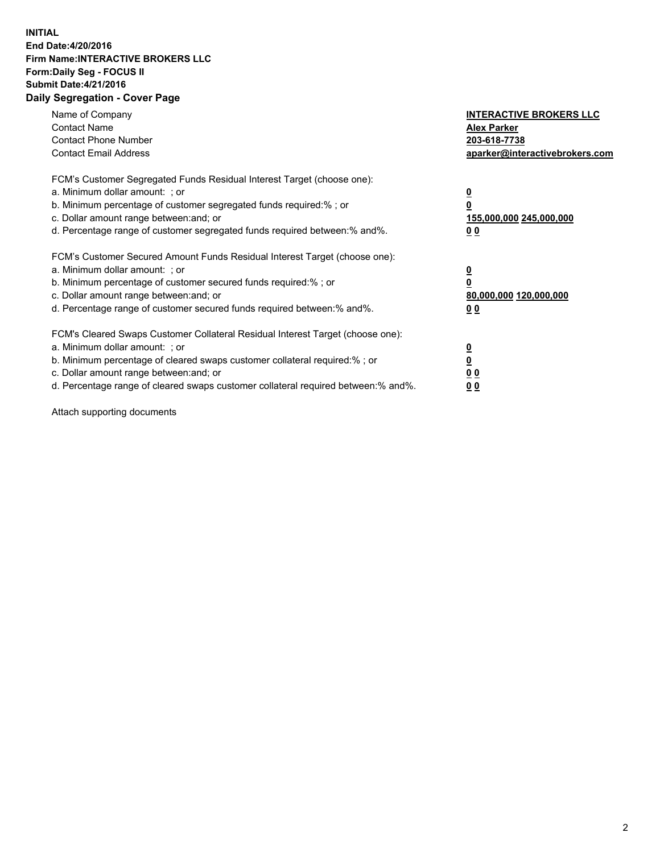## **INITIAL End Date:4/20/2016 Firm Name:INTERACTIVE BROKERS LLC Form:Daily Seg - FOCUS II Submit Date:4/21/2016 Daily Segregation - Cover Page**

| Name of Company<br><b>Contact Name</b><br><b>Contact Phone Number</b><br><b>Contact Email Address</b>                                                                                                                                                                                                                         | <b>INTERACTIVE BROKERS LLC</b><br><b>Alex Parker</b><br>203-618-7738<br>aparker@interactivebrokers.com |
|-------------------------------------------------------------------------------------------------------------------------------------------------------------------------------------------------------------------------------------------------------------------------------------------------------------------------------|--------------------------------------------------------------------------------------------------------|
| FCM's Customer Segregated Funds Residual Interest Target (choose one):<br>a. Minimum dollar amount: ; or<br>b. Minimum percentage of customer segregated funds required:% ; or<br>c. Dollar amount range between: and; or<br>d. Percentage range of customer segregated funds required between:% and%.                        | <u>0</u><br>155,000,000 245,000,000<br>0 <sub>0</sub>                                                  |
| FCM's Customer Secured Amount Funds Residual Interest Target (choose one):<br>a. Minimum dollar amount: ; or<br>b. Minimum percentage of customer secured funds required:%; or<br>c. Dollar amount range between: and; or<br>d. Percentage range of customer secured funds required between: % and %.                         | <u>0</u><br>80,000,000 120,000,000<br><u>00</u>                                                        |
| FCM's Cleared Swaps Customer Collateral Residual Interest Target (choose one):<br>a. Minimum dollar amount: ; or<br>b. Minimum percentage of cleared swaps customer collateral required:%; or<br>c. Dollar amount range between: and; or<br>d. Percentage range of cleared swaps customer collateral required between:% and%. | <u>0</u><br>0 <sub>0</sub><br>0 <sub>0</sub>                                                           |

Attach supporting documents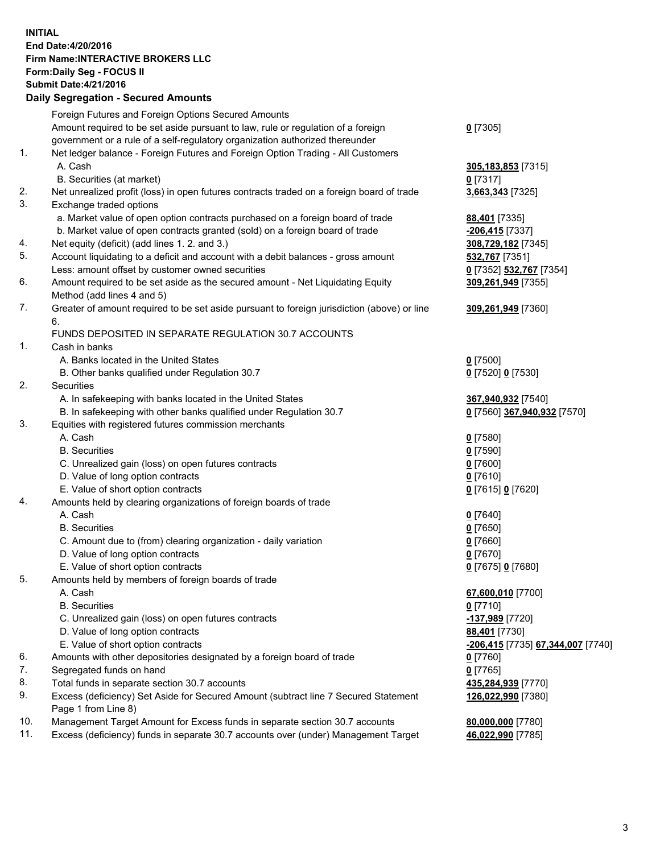## **INITIAL End Date:4/20/2016 Firm Name:INTERACTIVE BROKERS LLC Form:Daily Seg - FOCUS II Submit Date:4/21/2016 Daily Segregation - Secured Amounts**

|     | Foreign Futures and Foreign Options Secured Amounts                                         |                                          |
|-----|---------------------------------------------------------------------------------------------|------------------------------------------|
|     | Amount required to be set aside pursuant to law, rule or regulation of a foreign            | $0$ [7305]                               |
|     | government or a rule of a self-regulatory organization authorized thereunder                |                                          |
| 1.  | Net ledger balance - Foreign Futures and Foreign Option Trading - All Customers             |                                          |
|     | A. Cash                                                                                     | 305,183,853 [7315]                       |
|     | B. Securities (at market)                                                                   | $0$ [7317]                               |
| 2.  |                                                                                             |                                          |
|     | Net unrealized profit (loss) in open futures contracts traded on a foreign board of trade   | 3,663,343 [7325]                         |
| 3.  | Exchange traded options                                                                     |                                          |
|     | a. Market value of open option contracts purchased on a foreign board of trade              | 88,401 [7335]                            |
|     | b. Market value of open contracts granted (sold) on a foreign board of trade                | -206,415 [7337]                          |
| 4.  | Net equity (deficit) (add lines 1.2. and 3.)                                                | 308,729,182 [7345]                       |
| 5.  | Account liquidating to a deficit and account with a debit balances - gross amount           | 532,767 [7351]                           |
|     | Less: amount offset by customer owned securities                                            | 0 [7352] 532,767 [7354]                  |
| 6.  | Amount required to be set aside as the secured amount - Net Liquidating Equity              | 309,261,949 [7355]                       |
|     | Method (add lines 4 and 5)                                                                  |                                          |
| 7.  | Greater of amount required to be set aside pursuant to foreign jurisdiction (above) or line | 309,261,949 [7360]                       |
|     | 6.                                                                                          |                                          |
|     | FUNDS DEPOSITED IN SEPARATE REGULATION 30.7 ACCOUNTS                                        |                                          |
| 1.  | Cash in banks                                                                               |                                          |
|     |                                                                                             |                                          |
|     | A. Banks located in the United States                                                       | $0$ [7500]                               |
|     | B. Other banks qualified under Regulation 30.7                                              | 0 [7520] 0 [7530]                        |
| 2.  | Securities                                                                                  |                                          |
|     | A. In safekeeping with banks located in the United States                                   | 367,940,932 [7540]                       |
|     | B. In safekeeping with other banks qualified under Regulation 30.7                          | 0 [7560] 367,940,932 [7570]              |
| 3.  | Equities with registered futures commission merchants                                       |                                          |
|     | A. Cash                                                                                     | $0$ [7580]                               |
|     | <b>B.</b> Securities                                                                        | $0$ [7590]                               |
|     | C. Unrealized gain (loss) on open futures contracts                                         | $0$ [7600]                               |
|     | D. Value of long option contracts                                                           | $0$ [7610]                               |
|     | E. Value of short option contracts                                                          | 0 [7615] 0 [7620]                        |
| 4.  | Amounts held by clearing organizations of foreign boards of trade                           |                                          |
|     | A. Cash                                                                                     | $0$ [7640]                               |
|     | <b>B.</b> Securities                                                                        | $0$ [7650]                               |
|     |                                                                                             |                                          |
|     | C. Amount due to (from) clearing organization - daily variation                             | $0$ [7660]                               |
|     | D. Value of long option contracts                                                           | $0$ [7670]                               |
|     | E. Value of short option contracts                                                          | 0 [7675] 0 [7680]                        |
| 5.  | Amounts held by members of foreign boards of trade                                          |                                          |
|     | A. Cash                                                                                     | 67,600,010 [7700]                        |
|     | <b>B.</b> Securities                                                                        | $0$ [7710]                               |
|     | C. Unrealized gain (loss) on open futures contracts                                         | -137,989 [7720]                          |
|     | D. Value of long option contracts                                                           | 88,401 [7730]                            |
|     | E. Value of short option contracts                                                          | <u>-206,415</u> [7735] 67,344,007 [7740] |
| 6.  | Amounts with other depositories designated by a foreign board of trade                      | $0$ [7760]                               |
| 7.  | Segregated funds on hand                                                                    | $0$ [7765]                               |
| 8.  | Total funds in separate section 30.7 accounts                                               | 435,284,939 [7770]                       |
| 9.  | Excess (deficiency) Set Aside for Secured Amount (subtract line 7 Secured Statement         | 126,022,990 [7380]                       |
|     | Page 1 from Line 8)                                                                         |                                          |
| 10. | Management Target Amount for Excess funds in separate section 30.7 accounts                 |                                          |
| 11. | Excess (deficiency) funds in separate 30.7 accounts over (under) Management Target          | 80,000,000 [7780]                        |
|     |                                                                                             | 46,022,990 [7785]                        |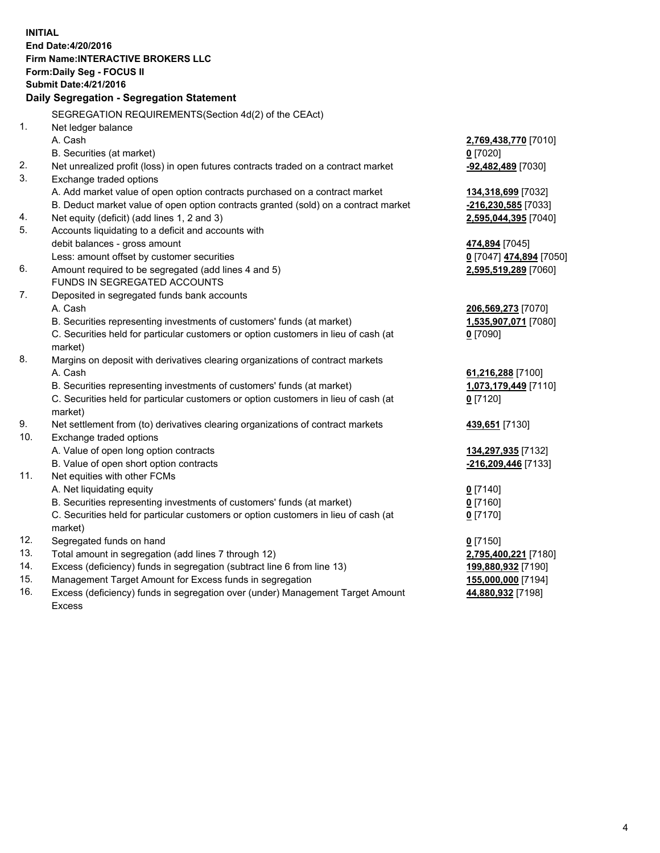**INITIAL End Date:4/20/2016 Firm Name:INTERACTIVE BROKERS LLC Form:Daily Seg - FOCUS II Submit Date:4/21/2016 Daily Segregation - Segregation Statement** SEGREGATION REQUIREMENTS(Section 4d(2) of the CEAct) 1. Net ledger balance A. Cash **2,769,438,770** [7010] B. Securities (at market) **0** [7020] 2. Net unrealized profit (loss) in open futures contracts traded on a contract market **-92,482,489** [7030] 3. Exchange traded options A. Add market value of open option contracts purchased on a contract market **134,318,699** [7032] B. Deduct market value of open option contracts granted (sold) on a contract market **-216,230,585** [7033] 4. Net equity (deficit) (add lines 1, 2 and 3) **2,595,044,395** [7040] 5. Accounts liquidating to a deficit and accounts with debit balances - gross amount **474,894** [7045] Less: amount offset by customer securities **0** [7047] **474,894** [7050] 6. Amount required to be segregated (add lines 4 and 5) **2,595,519,289** [7060] FUNDS IN SEGREGATED ACCOUNTS 7. Deposited in segregated funds bank accounts A. Cash **206,569,273** [7070] B. Securities representing investments of customers' funds (at market) **1,535,907,071** [7080] C. Securities held for particular customers or option customers in lieu of cash (at market) **0** [7090] 8. Margins on deposit with derivatives clearing organizations of contract markets A. Cash **61,216,288** [7100] B. Securities representing investments of customers' funds (at market) **1,073,179,449** [7110] C. Securities held for particular customers or option customers in lieu of cash (at market) **0** [7120] 9. Net settlement from (to) derivatives clearing organizations of contract markets **439,651** [7130] 10. Exchange traded options A. Value of open long option contracts **134,297,935** [7132] B. Value of open short option contracts **-216,209,446** [7133] 11. Net equities with other FCMs A. Net liquidating equity **0** [7140] B. Securities representing investments of customers' funds (at market) **0** [7160] C. Securities held for particular customers or option customers in lieu of cash (at market) **0** [7170] 12. Segregated funds on hand **0** [7150] 13. Total amount in segregation (add lines 7 through 12) **2,795,400,221** [7180] 14. Excess (deficiency) funds in segregation (subtract line 6 from line 13) **199,880,932** [7190] 15. Management Target Amount for Excess funds in segregation **155,000,000** [7194]

16. Excess (deficiency) funds in segregation over (under) Management Target Amount Excess

**44,880,932** [7198]